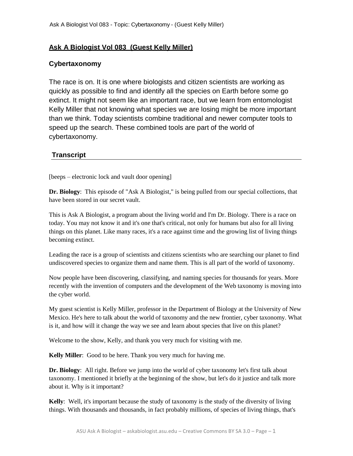## **Ask A Biologist Vol 083 (Guest Kelly Miller)**

## **Cybertaxonomy**

The race is on. It is one where biologists and citizen scientists are working as quickly as possible to find and identify all the species on Earth before some go extinct. It might not seem like an important race, but we learn from entomologist Kelly Miller that not knowing what species we are losing might be more important than we think. Today scientists combine traditional and newer computer tools to speed up the search. These combined tools are part of the world of cybertaxonomy.

## **Transcript**

[beeps – electronic lock and vault door opening]

**Dr. Biology**: This episode of "Ask A Biologist," is being pulled from our special collections, that have been stored in our secret vault.

This is Ask A Biologist, a program about the living world and I'm Dr. Biology. There is a race on today. You may not know it and it's one that's critical, not only for humans but also for all living things on this planet. Like many races, it's a race against time and the growing list of living things becoming extinct.

Leading the race is a group of scientists and citizens scientists who are searching our planet to find undiscovered species to organize them and name them. This is all part of the world of taxonomy.

Now people have been discovering, classifying, and naming species for thousands for years. More recently with the invention of computers and the development of the Web taxonomy is moving into the cyber world.

My guest scientist is Kelly Miller, professor in the Department of Biology at the University of New Mexico. He's here to talk about the world of taxonomy and the new frontier, cyber taxonomy. What is it, and how will it change the way we see and learn about species that live on this planet?

Welcome to the show, Kelly, and thank you very much for visiting with me.

**Kelly Miller**: Good to be here. Thank you very much for having me.

**Dr. Biology**: All right. Before we jump into the world of cyber taxonomy let's first talk about taxonomy. I mentioned it briefly at the beginning of the show, but let's do it justice and talk more about it. Why is it important?

**Kelly**: Well, it's important because the study of taxonomy is the study of the diversity of living things. With thousands and thousands, in fact probably millions, of species of living things, that's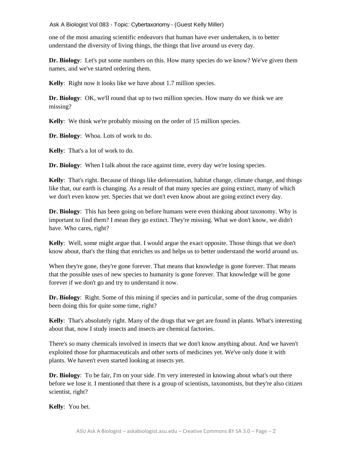one of the most amazing scientific endeavors that human have ever undertaken, is to better understand the diversity of living things, the things that live around us every day.

**Dr. Biology**: Let's put some numbers on this. How many species do we know? We've given them names, and we've started ordering them.

**Kelly**: Right now it looks like we have about 1.7 million species.

**Dr. Biology**: OK, we'll round that up to two million species. How many do we think we are missing?

**Kelly**: We think we're probably missing on the order of 15 million species.

**Dr. Biology**: Whoa. Lots of work to do.

**Kelly**: That's a lot of work to do.

**Dr. Biology:** When I talk about the race against time, every day we're losing species.

**Kelly**: That's right. Because of things like deforestation, habitat change, climate change, and things like that, our earth is changing. As a result of that many species are going extinct, many of which we don't even know yet. Species that we don't even know about are going extinct every day.

**Dr. Biology**: This has been going on before humans were even thinking about taxonomy. Why is important to find them? I mean they go extinct. They're missing. What we don't know, we didn't have. Who cares, right?

**Kelly**: Well, some might argue that. I would argue the exact opposite. Those things that we don't know about, that's the thing that enriches us and helps us to better understand the world around us.

When they're gone, they're gone forever. That means that knowledge is gone forever. That means that the possible uses of new species to humanity is gone forever. That knowledge will be gone forever if we don't go and try to understand it now.

**Dr. Biology**: Right. Some of this mining if species and in particular, some of the drug companies been doing this for quite some time, right?

**Kelly**: That's absolutely right. Many of the drugs that we get are found in plants. What's interesting about that, now I study insects and insects are chemical factories.

There's so many chemicals involved in insects that we don't know anything about. And we haven't exploited those for pharmaceuticals and other sorts of medicines yet. We've only done it with plants. We haven't even started looking at insects yet.

**Dr. Biology**: To be fair, I'm on your side. I'm very interested in knowing about what's out there before we lose it. I mentioned that there is a group of scientists, taxonomists, but they're also citizen scientist, right?

**Kelly**: You bet.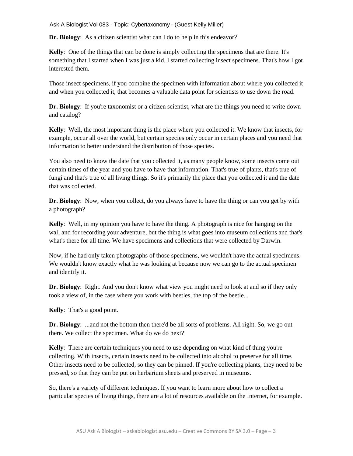**Dr. Biology**: As a citizen scientist what can I do to help in this endeavor?

**Kelly**: One of the things that can be done is simply collecting the specimens that are there. It's something that I started when I was just a kid, I started collecting insect specimens. That's how I got interested them.

Those insect specimens, if you combine the specimen with information about where you collected it and when you collected it, that becomes a valuable data point for scientists to use down the road.

**Dr. Biology**: If you're taxonomist or a citizen scientist, what are the things you need to write down and catalog?

**Kelly**: Well, the most important thing is the place where you collected it. We know that insects, for example, occur all over the world, but certain species only occur in certain places and you need that information to better understand the distribution of those species.

You also need to know the date that you collected it, as many people know, some insects come out certain times of the year and you have to have that information. That's true of plants, that's true of fungi and that's true of all living things. So it's primarily the place that you collected it and the date that was collected.

**Dr. Biology**: Now, when you collect, do you always have to have the thing or can you get by with a photograph?

**Kelly**: Well, in my opinion you have to have the thing. A photograph is nice for hanging on the wall and for recording your adventure, but the thing is what goes into museum collections and that's what's there for all time. We have specimens and collections that were collected by Darwin.

Now, if he had only taken photographs of those specimens, we wouldn't have the actual specimens. We wouldn't know exactly what he was looking at because now we can go to the actual specimen and identify it.

**Dr. Biology**: Right. And you don't know what view you might need to look at and so if they only took a view of, in the case where you work with beetles, the top of the beetle...

**Kelly**: That's a good point.

**Dr. Biology**: ...and not the bottom then there'd be all sorts of problems. All right. So, we go out there. We collect the specimen. What do we do next?

**Kelly**: There are certain techniques you need to use depending on what kind of thing you're collecting. With insects, certain insects need to be collected into alcohol to preserve for all time. Other insects need to be collected, so they can be pinned. If you're collecting plants, they need to be pressed, so that they can be put on herbarium sheets and preserved in museums.

So, there's a variety of different techniques. If you want to learn more about how to collect a particular species of living things, there are a lot of resources available on the Internet, for example.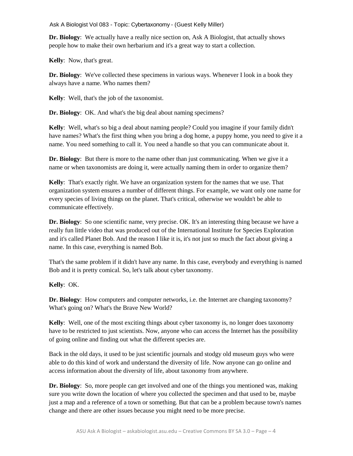**Dr. Biology**: We actually have a really nice section on, Ask A Biologist, that actually shows people how to make their own herbarium and it's a great way to start a collection.

**Kelly**: Now, that's great.

**Dr. Biology**: We've collected these specimens in various ways. Whenever I look in a book they always have a name. Who names them?

**Kelly**: Well, that's the job of the taxonomist.

**Dr. Biology**: OK. And what's the big deal about naming specimens?

**Kelly**: Well, what's so big a deal about naming people? Could you imagine if your family didn't have names? What's the first thing when you bring a dog home, a puppy home, you need to give it a name. You need something to call it. You need a handle so that you can communicate about it.

**Dr. Biology**: But there is more to the name other than just communicating. When we give it a name or when taxonomists are doing it, were actually naming them in order to organize them?

**Kelly**: That's exactly right. We have an organization system for the names that we use. That organization system ensures a number of different things. For example, we want only one name for every species of living things on the planet. That's critical, otherwise we wouldn't be able to communicate effectively.

**Dr. Biology**: So one scientific name, very precise. OK. It's an interesting thing because we have a really fun little video that was produced out of the International Institute for Species Exploration and it's called Planet Bob. And the reason I like it is, it's not just so much the fact about giving a name. In this case, everything is named Bob.

That's the same problem if it didn't have any name. In this case, everybody and everything is named Bob and it is pretty comical. So, let's talk about cyber taxonomy.

## **Kelly**: OK.

**Dr. Biology**: How computers and computer networks, i.e. the Internet are changing taxonomy? What's going on? What's the Brave New World?

**Kelly**: Well, one of the most exciting things about cyber taxonomy is, no longer does taxonomy have to be restricted to just scientists. Now, anyone who can access the Internet has the possibility of going online and finding out what the different species are.

Back in the old days, it used to be just scientific journals and stodgy old museum guys who were able to do this kind of work and understand the diversity of life. Now anyone can go online and access information about the diversity of life, about taxonomy from anywhere.

**Dr. Biology**: So, more people can get involved and one of the things you mentioned was, making sure you write down the location of where you collected the specimen and that used to be, maybe just a map and a reference of a town or something. But that can be a problem because town's names change and there are other issues because you might need to be more precise.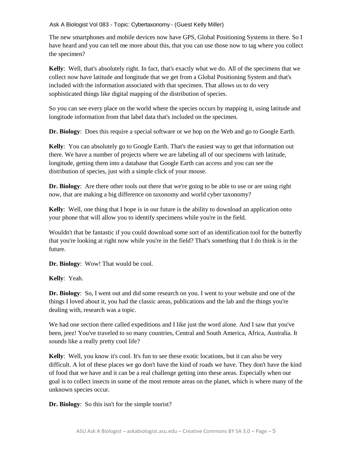The new smartphones and mobile devices now have GPS, Global Positioning Systems in there. So I have heard and you can tell me more about this, that you can use those now to tag where you collect the specimen?

**Kelly**: Well, that's absolutely right. In fact, that's exactly what we do. All of the specimens that we collect now have latitude and longitude that we get from a Global Positioning System and that's included with the information associated with that specimen. That allows us to do very sophisticated things like digital mapping of the distribution of species.

So you can see every place on the world where the species occurs by mapping it, using latitude and longitude information from that label data that's included on the specimen.

**Dr. Biology**: Does this require a special software or we hop on the Web and go to Google Earth.

**Kelly**: You can absolutely go to Google Earth. That's the easiest way to get that information out there. We have a number of projects where we are labeling all of our specimens with latitude, longitude, getting them into a database that Google Earth can access and you can see the distribution of species, just with a simple click of your mouse.

**Dr. Biology**: Are there other tools out there that we're going to be able to use or are using right now, that are making a big difference on taxonomy and world cyber taxonomy?

**Kelly**: Well, one thing that I hope is in our future is the ability to download an application onto your phone that will allow you to identify specimens while you're in the field.

Wouldn't that be fantastic if you could download some sort of an identification tool for the butterfly that you're looking at right now while you're in the field? That's something that I do think is in the future.

**Dr. Biology**: Wow! That would be cool.

**Kelly**: Yeah.

**Dr. Biology**: So, I went out and did some research on you. I went to your website and one of the things I loved about it, you had the classic areas, publications and the lab and the things you're dealing with, research was a topic.

We had one section there called expeditions and I like just the word alone. And I saw that you've been, jeez! You've traveled to so many countries, Central and South America, Africa, Australia. It sounds like a really pretty cool life?

**Kelly**: Well, you know it's cool. It's fun to see these exotic locations, but it can also be very difficult. A lot of these places we go don't have the kind of roads we have. They don't have the kind of food that we have and it can be a real challenge getting into these areas. Especially when our goal is to collect insects in some of the most remote areas on the planet, which is where many of the unknown species occur.

**Dr. Biology**: So this isn't for the simple tourist?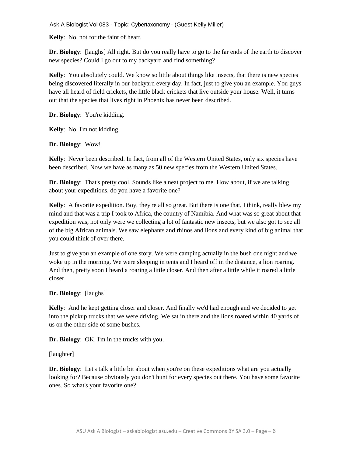**Kelly**: No, not for the faint of heart.

**Dr. Biology**: [laughs] All right. But do you really have to go to the far ends of the earth to discover new species? Could I go out to my backyard and find something?

**Kelly**: You absolutely could. We know so little about things like insects, that there is new species being discovered literally in our backyard every day. In fact, just to give you an example. You guys have all heard of field crickets, the little black crickets that live outside your house. Well, it turns out that the species that lives right in Phoenix has never been described.

**Dr. Biology**: You're kidding.

**Kelly**: No, I'm not kidding.

**Dr. Biology**: Wow!

**Kelly**: Never been described. In fact, from all of the Western United States, only six species have been described. Now we have as many as 50 new species from the Western United States.

**Dr. Biology**: That's pretty cool. Sounds like a neat project to me. How about, if we are talking about your expeditions, do you have a favorite one?

**Kelly**: A favorite expedition. Boy, they're all so great. But there is one that, I think, really blew my mind and that was a trip I took to Africa, the country of Namibia. And what was so great about that expedition was, not only were we collecting a lot of fantastic new insects, but we also got to see all of the big African animals. We saw elephants and rhinos and lions and every kind of big animal that you could think of over there.

Just to give you an example of one story. We were camping actually in the bush one night and we woke up in the morning. We were sleeping in tents and I heard off in the distance, a lion roaring. And then, pretty soon I heard a roaring a little closer. And then after a little while it roared a little closer.

**Dr. Biology**: [laughs]

**Kelly**: And he kept getting closer and closer. And finally we'd had enough and we decided to get into the pickup trucks that we were driving. We sat in there and the lions roared within 40 yards of us on the other side of some bushes.

**Dr. Biology**: OK. I'm in the trucks with you.

[laughter]

**Dr. Biology**: Let's talk a little bit about when you're on these expeditions what are you actually looking for? Because obviously you don't hunt for every species out there. You have some favorite ones. So what's your favorite one?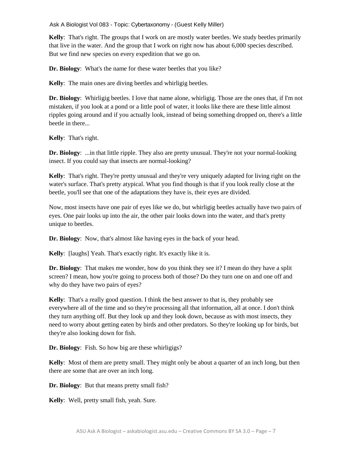**Kelly**: That's right. The groups that I work on are mostly water beetles. We study beetles primarily that live in the water. And the group that I work on right now has about 6,000 species described. But we find new species on every expedition that we go on.

**Dr. Biology**: What's the name for these water beetles that you like?

**Kelly**: The main ones are diving beetles and whirligig beetles.

**Dr. Biology**: Whirligig beetles. I love that name alone, whirligig. Those are the ones that, if I'm not mistaken, if you look at a pond or a little pool of water, it looks like there are these little almost ripples going around and if you actually look, instead of being something dropped on, there's a little beetle in there...

**Kelly**: That's right.

**Dr. Biology**: ...in that little ripple. They also are pretty unusual. They're not your normal-looking insect. If you could say that insects are normal-looking?

**Kelly**: That's right. They're pretty unusual and they're very uniquely adapted for living right on the water's surface. That's pretty atypical. What you find though is that if you look really close at the beetle, you'll see that one of the adaptations they have is, their eyes are divided.

Now, most insects have one pair of eyes like we do, but whirligig beetles actually have two pairs of eyes. One pair looks up into the air, the other pair looks down into the water, and that's pretty unique to beetles.

**Dr. Biology**: Now, that's almost like having eyes in the back of your head.

**Kelly**: [laughs] Yeah. That's exactly right. It's exactly like it is.

**Dr. Biology**: That makes me wonder, how do you think they see it? I mean do they have a split screen? I mean, how you're going to process both of those? Do they turn one on and one off and why do they have two pairs of eyes?

**Kelly**: That's a really good question. I think the best answer to that is, they probably see everywhere all of the time and so they're processing all that information, all at once. I don't think they turn anything off. But they look up and they look down, because as with most insects, they need to worry about getting eaten by birds and other predators. So they're looking up for birds, but they're also looking down for fish.

**Dr. Biology**: Fish. So how big are these whirligigs?

**Kelly**: Most of them are pretty small. They might only be about a quarter of an inch long, but then there are some that are over an inch long.

**Dr. Biology**: But that means pretty small fish?

**Kelly**: Well, pretty small fish, yeah. Sure.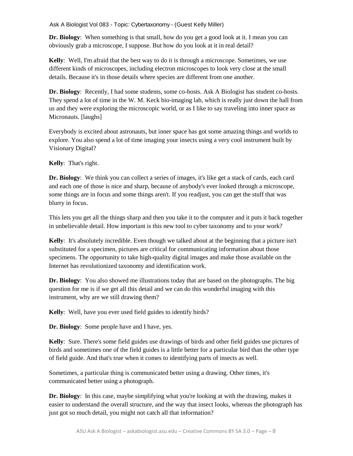**Dr. Biology**: When something is that small, how do you get a good look at it. I mean you can obviously grab a microscope, I suppose. But how do you look at it in real detail?

**Kelly**: Well, I'm afraid that the best way to do it is through a microscope. Sometimes, we use different kinds of microscopes, including electron microscopes to look very close at the small details. Because it's in those details where species are different from one another.

**Dr. Biology**: Recently, I had some students, some co-hosts. Ask A Biologist has student co-hosts. They spend a lot of time in the W. M. Keck bio-imaging lab, which is really just down the hall from us and they were exploring the microscopic world, or as I like to say traveling into inner space as Micronauts. [laughs]

Everybody is excited about astronauts, but inner space has got some amazing things and worlds to explore. You also spend a lot of time imaging your insects using a very cool instrument built by Visionary Digital?

**Kelly**: That's right.

**Dr. Biology:** We think you can collect a series of images, it's like get a stack of cards, each card and each one of those is nice and sharp, because of anybody's ever looked through a microscope, some things are in focus and some things aren't. If you readjust, you can get the stuff that was blurry in focus.

This lets you get all the things sharp and then you take it to the computer and it puts it back together in unbelievable detail. How important is this new tool to cyber taxonomy and to your work?

**Kelly**: It's absolutely incredible. Even though we talked about at the beginning that a picture isn't substituted for a specimen, pictures are critical for communicating information about those specimens. The opportunity to take high-quality digital images and make those available on the Internet has revolutionized taxonomy and identification work.

**Dr. Biology**: You also showed me illustrations today that are based on the photographs. The big question for me is if we get all this detail and we can do this wonderful imaging with this instrument, why are we still drawing them?

**Kelly**: Well, have you ever used field guides to identify birds?

**Dr. Biology**: Some people have and I have, yes.

**Kelly**: Sure. There's some field guides use drawings of birds and other field guides use pictures of birds and sometimes one of the field guides is a little better for a particular bird than the other type of field guide. And that's true when it comes to identifying parts of insects as well.

Sometimes, a particular thing is communicated better using a drawing. Other times, it's communicated better using a photograph.

**Dr. Biology**: In this case, maybe simplifying what you're looking at with the drawing, makes it easier to understand the overall structure, and the way that insect looks, whereas the photograph has just got so much detail, you might not catch all that information?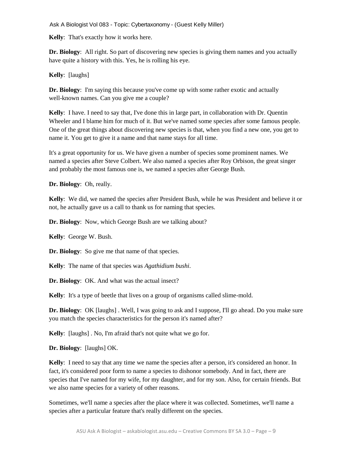**Kelly**: That's exactly how it works here.

**Dr. Biology**: All right. So part of discovering new species is giving them names and you actually have quite a history with this. Yes, he is rolling his eye.

**Kelly**: [laughs]

**Dr. Biology**: I'm saying this because you've come up with some rather exotic and actually well-known names. Can you give me a couple?

**Kelly**: I have. I need to say that, I've done this in large part, in collaboration with Dr. Quentin Wheeler and I blame him for much of it. But we've named some species after some famous people. One of the great things about discovering new species is that, when you find a new one, you get to name it. You get to give it a name and that name stays for all time.

It's a great opportunity for us. We have given a number of species some prominent names. We named a species after Steve Colbert. We also named a species after Roy Orbison, the great singer and probably the most famous one is, we named a species after George Bush.

**Dr. Biology**: Oh, really.

**Kelly**: We did, we named the species after President Bush, while he was President and believe it or not, he actually gave us a call to thank us for naming that species.

**Dr. Biology**: Now, which George Bush are we talking about?

**Kelly**: George W. Bush.

**Dr. Biology**: So give me that name of that species.

**Kelly**: The name of that species was *Agathidium bushi*.

**Dr. Biology**: OK. And what was the actual insect?

**Kelly**: It's a type of beetle that lives on a group of organisms called slime-mold.

**Dr. Biology**: OK [laughs] . Well, I was going to ask and I suppose, I'll go ahead. Do you make sure you match the species characteristics for the person it's named after?

**Kelly**: [laughs] . No, I'm afraid that's not quite what we go for.

**Dr. Biology**: [laughs] OK.

**Kelly**: I need to say that any time we name the species after a person, it's considered an honor. In fact, it's considered poor form to name a species to dishonor somebody. And in fact, there are species that I've named for my wife, for my daughter, and for my son. Also, for certain friends. But we also name species for a variety of other reasons.

Sometimes, we'll name a species after the place where it was collected. Sometimes, we'll name a species after a particular feature that's really different on the species.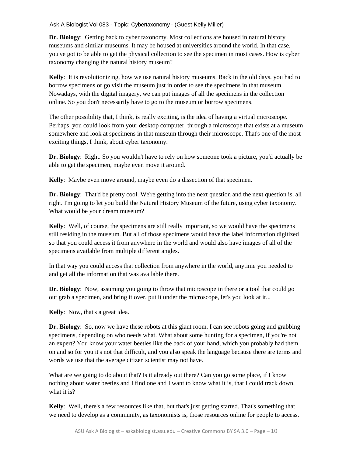**Dr. Biology**: Getting back to cyber taxonomy. Most collections are housed in natural history museums and similar museums. It may be housed at universities around the world. In that case, you've got to be able to get the physical collection to see the specimen in most cases. How is cyber taxonomy changing the natural history museum?

**Kelly**: It is revolutionizing, how we use natural history museums. Back in the old days, you had to borrow specimens or go visit the museum just in order to see the specimens in that museum. Nowadays, with the digital imagery, we can put images of all the specimens in the collection online. So you don't necessarily have to go to the museum or borrow specimens.

The other possibility that, I think, is really exciting, is the idea of having a virtual microscope. Perhaps, you could look from your desktop computer, through a microscope that exists at a museum somewhere and look at specimens in that museum through their microscope. That's one of the most exciting things, I think, about cyber taxonomy.

**Dr. Biology**: Right. So you wouldn't have to rely on how someone took a picture, you'd actually be able to get the specimen, maybe even move it around.

**Kelly**: Maybe even move around, maybe even do a dissection of that specimen.

**Dr. Biology**: That'd be pretty cool. We're getting into the next question and the next question is, all right. I'm going to let you build the Natural History Museum of the future, using cyber taxonomy. What would be your dream museum?

**Kelly**: Well, of course, the specimens are still really important, so we would have the specimens still residing in the museum. But all of those specimens would have the label information digitized so that you could access it from anywhere in the world and would also have images of all of the specimens available from multiple different angles.

In that way you could access that collection from anywhere in the world, anytime you needed to and get all the information that was available there.

**Dr. Biology**: Now, assuming you going to throw that microscope in there or a tool that could go out grab a specimen, and bring it over, put it under the microscope, let's you look at it...

**Kelly**: Now, that's a great idea.

**Dr. Biology**: So, now we have these robots at this giant room. I can see robots going and grabbing specimens, depending on who needs what. What about some hunting for a specimen, if you're not an expert? You know your water beetles like the back of your hand, which you probably had them on and so for you it's not that difficult, and you also speak the language because there are terms and words we use that the average citizen scientist may not have.

What are we going to do about that? Is it already out there? Can you go some place, if I know nothing about water beetles and I find one and I want to know what it is, that I could track down, what it is?

**Kelly**: Well, there's a few resources like that, but that's just getting started. That's something that we need to develop as a community, as taxonomists is, those resources online for people to access.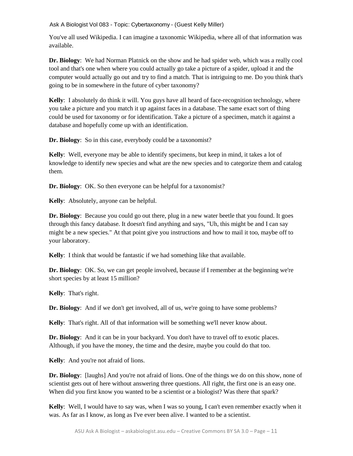You've all used Wikipedia. I can imagine a taxonomic Wikipedia, where all of that information was available.

**Dr. Biology**: We had Norman Platnick on the show and he had spider web, which was a really cool tool and that's one when where you could actually go take a picture of a spider, upload it and the computer would actually go out and try to find a match. That is intriguing to me. Do you think that's going to be in somewhere in the future of cyber taxonomy?

**Kelly**: I absolutely do think it will. You guys have all heard of face-recognition technology, where you take a picture and you match it up against faces in a database. The same exact sort of thing could be used for taxonomy or for identification. Take a picture of a specimen, match it against a database and hopefully come up with an identification.

**Dr. Biology**: So in this case, everybody could be a taxonomist?

**Kelly**: Well, everyone may be able to identify specimens, but keep in mind, it takes a lot of knowledge to identify new species and what are the new species and to categorize them and catalog them.

**Dr. Biology**: OK. So then everyone can be helpful for a taxonomist?

**Kelly**: Absolutely, anyone can be helpful.

**Dr. Biology**: Because you could go out there, plug in a new water beetle that you found. It goes through this fancy database. It doesn't find anything and says, "Uh, this might be and I can say might be a new species." At that point give you instructions and how to mail it too, maybe off to your laboratory.

**Kelly**: I think that would be fantastic if we had something like that available.

**Dr. Biology**: OK. So, we can get people involved, because if I remember at the beginning we're short species by at least 15 million?

**Kelly**: That's right.

**Dr. Biology**: And if we don't get involved, all of us, we're going to have some problems?

**Kelly**: That's right. All of that information will be something we'll never know about.

**Dr. Biology**: And it can be in your backyard. You don't have to travel off to exotic places. Although, if you have the money, the time and the desire, maybe you could do that too.

**Kelly**: And you're not afraid of lions.

**Dr. Biology**: [laughs] And you're not afraid of lions. One of the things we do on this show, none of scientist gets out of here without answering three questions. All right, the first one is an easy one. When did you first know you wanted to be a scientist or a biologist? Was there that spark?

**Kelly**: Well, I would have to say was, when I was so young, I can't even remember exactly when it was. As far as I know, as long as I've ever been alive. I wanted to be a scientist.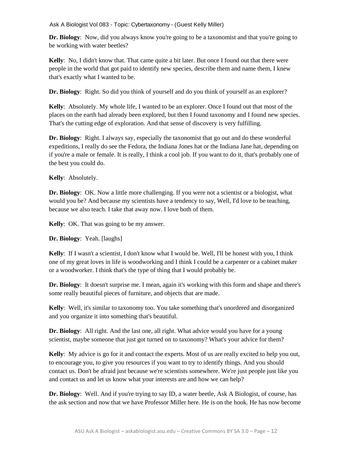**Dr. Biology**: Now, did you always know you're going to be a taxonomist and that you're going to be working with water beetles?

**Kelly**: No, I didn't know that. That came quite a bit later. But once I found out that there were people in the world that got paid to identify new species, describe them and name them, I knew that's exactly what I wanted to be.

**Dr. Biology**: Right. So did you think of yourself and do you think of yourself as an explorer?

**Kelly**: Absolutely. My whole life, I wanted to be an explorer. Once I found out that most of the places on the earth had already been explored, but then I found taxonomy and I found new species. That's the cutting edge of exploration. And that sense of discovery is very fulfilling.

**Dr. Biology**: Right. I always say, especially the taxonomist that go out and do these wonderful expeditions, I really do see the Fedora, the Indiana Jones hat or the Indiana Jane hat, depending on if you're a male or female. It is really, I think a cool job. If you want to do it, that's probably one of the best you could do.

**Kelly**: Absolutely.

**Dr. Biology**: OK. Now a little more challenging. If you were not a scientist or a biologist, what would you be? And because my scientists have a tendency to say, Well, I'd love to be teaching, because we also teach. I take that away now. I love both of them.

**Kelly**: OK. That was going to be my answer.

**Dr. Biology**: Yeah. [laughs]

**Kelly**: If I wasn't a scientist, I don't know what I would be. Well, I'll be honest with you, I think one of my great loves in life is woodworking and I think I could be a carpenter or a cabinet maker or a woodworker. I think that's the type of thing that I would probably be.

**Dr. Biology**: It doesn't surprise me. I mean, again it's working with this form and shape and there's some really beautiful pieces of furniture, and objects that are made.

**Kelly**: Well, it's similar to taxonomy too. You take something that's unordered and disorganized and you organize it into something that's beautiful.

**Dr. Biology**: All right. And the last one, all right. What advice would you have for a young scientist, maybe someone that just got turned on to taxonomy? What's your advice for them?

**Kelly**: My advice is go for it and contact the experts. Most of us are really excited to help you out, to encourage you, to give you resources if you want to try to identify things. And you should contact us. Don't be afraid just because we're scientists somewhere. We're just people just like you and contact us and let us know what your interests are and how we can help?

**Dr. Biology:** Well. And if you're trying to say ID, a water beetle, Ask A Biologist, of course, has the ask section and now that we have Professor Miller here. He is on the hook. He has now become